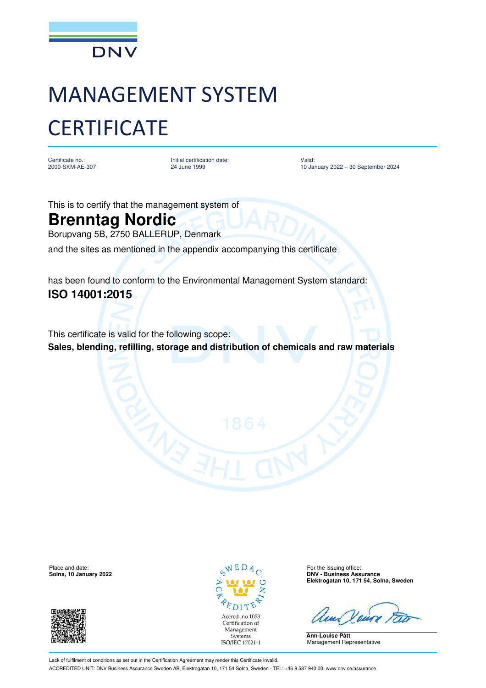

## MANAGEMENT SYSTEM **CERTIFICATE**

Certificate no.: 2000-SKM-AE-307 Initial certification date: 24 June 1999

Valid: 10 January 2022 – 30 September 2024

This is to certify that the management system of

## **Brenntag Nordic**

Borupvang 5B, 2750 BALLERUP, Denmark

and the sites as mentioned in the appendix accompanying this certificate

has been found to conform to the Environmental Management System standard: **ISO 14001:2015**

This certificate is valid for the following scope: **Sales, blending, refilling, storage and distribution of chemicals and raw materials** 

Place and date: **Solna, 10 January 2022 Solna, 10 January 2022 Solna, 10 January 2022 Solna, 10 January 2022** 





**Solna, 10 January 2022 DNV - Business Assurance Elektrogatan 10, 171 54, Solna, Sweden**

**Ann-Louise Pått** Management Representative

Lack of fulfilment of conditions as set out in the Certification Agreement may render this Certificate invalid. ACCREDITED UNIT: DNV Business Assurance Sweden AB, Elektrogatan 10, 171 54 Solna, Sweden - TEL: +46 8 587 940 00. www.dnv.se/assurance